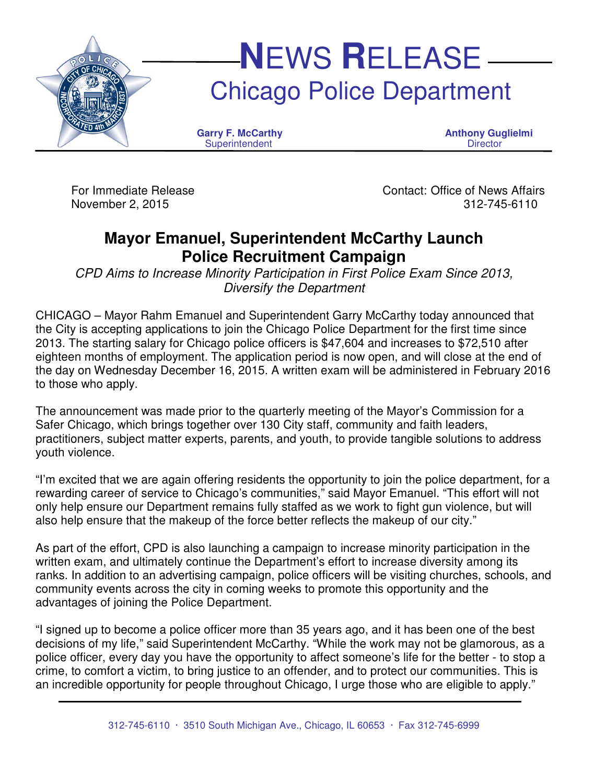

For Immediate Release Contact: Office of News Affairs November 2, 2015 312-745-6110

## **Mayor Emanuel, Superintendent McCarthy Launch Police Recruitment Campaign**

CPD Aims to Increase Minority Participation in First Police Exam Since 2013, Diversify the Department

CHICAGO – Mayor Rahm Emanuel and Superintendent Garry McCarthy today announced that the City is accepting applications to join the Chicago Police Department for the first time since 2013. The starting salary for Chicago police officers is \$47,604 and increases to \$72,510 after eighteen months of employment. The application period is now open, and will close at the end of the day on Wednesday December 16, 2015. A written exam will be administered in February 2016 to those who apply.

The announcement was made prior to the quarterly meeting of the Mayor's Commission for a Safer Chicago, which brings together over 130 City staff, community and faith leaders, practitioners, subject matter experts, parents, and youth, to provide tangible solutions to address youth violence.

"I'm excited that we are again offering residents the opportunity to join the police department, for a rewarding career of service to Chicago's communities," said Mayor Emanuel. "This effort will not only help ensure our Department remains fully staffed as we work to fight gun violence, but will also help ensure that the makeup of the force better reflects the makeup of our city."

As part of the effort, CPD is also launching a campaign to increase minority participation in the written exam, and ultimately continue the Department's effort to increase diversity among its ranks. In addition to an advertising campaign, police officers will be visiting churches, schools, and community events across the city in coming weeks to promote this opportunity and the advantages of joining the Police Department.

"I signed up to become a police officer more than 35 years ago, and it has been one of the best decisions of my life," said Superintendent McCarthy. "While the work may not be glamorous, as a police officer, every day you have the opportunity to affect someone's life for the better - to stop a crime, to comfort a victim, to bring justice to an offender, and to protect our communities. This is an incredible opportunity for people throughout Chicago, I urge those who are eligible to apply."